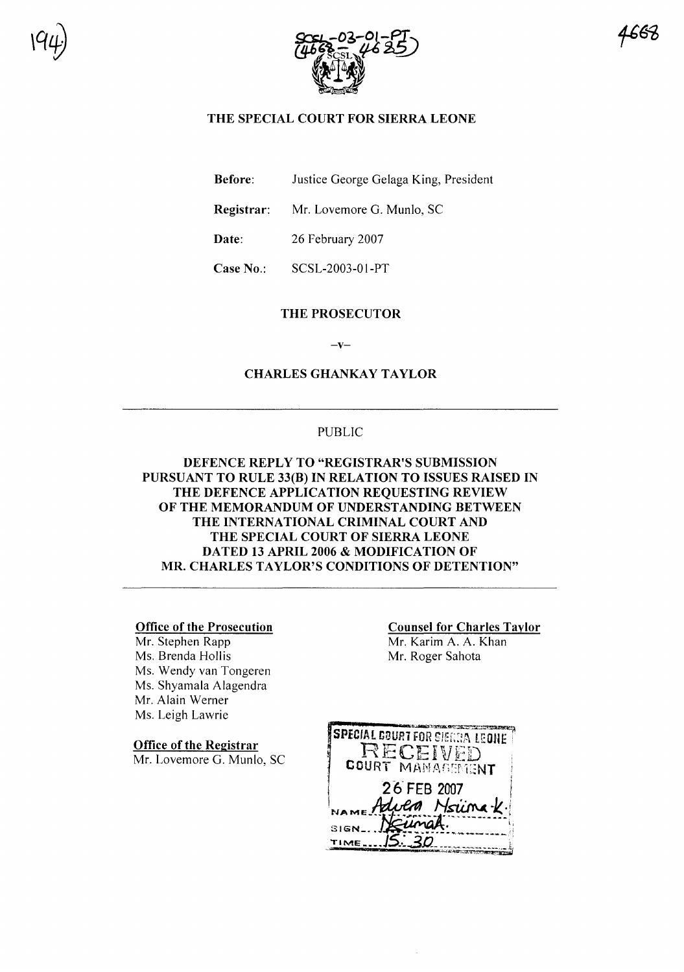



665

## THE SPECIAL COURT FOR SIERRA LEONE

Before: Justice George Gelaga King, President

Registrar: Mr. Lovemore G. Munlo, SC

Date: 26 February 2007

Case No.: SCSL-2003-01-PT

#### THE PROSECUTOR

 $-v-$ 

CHARLES GHANKAY TAYLOR

## PUBLIC

## DEFENCE REPLY TO "REGISTRAR'S SUBMISSION PURSUANT TO RULE 33(B) IN RELATION TO ISSUES RAISED IN THE DEFENCE APPLICATION REQUESTING REVIEW OF THE MEMORANDUM OF UNDERSTANDING BETWEEN THE INTERNATIONAL CRIMINAL COURT AND THE SPECIAL COURT OF SIERRA LEONE DATED 13 APRIL 2006 & MODIFICATION OF MR. CHARLES TAYLOR'S CONDITIONS OF DETENTION"

#### Office of the Prosecution

Mr. Stephen Rapp Ms. Brenda Hollis Ms. Wendy van Tongeren Ms. Shyamala Alagendra Mr. Alain Werner Ms. Leigh Lawrie

Office of the Registrar

Mr. Lovemore G. Munlo, SC

Counsel for Charles Taylor Mr. Karim A. A. Khan Mr. Roger Sahota

**SPECIAL COURT FOR SIERRA LEONE** RECEIVED COURT MANAGEMENT 26 FEB 2007 Nsiina *V* uma SIGN TIME.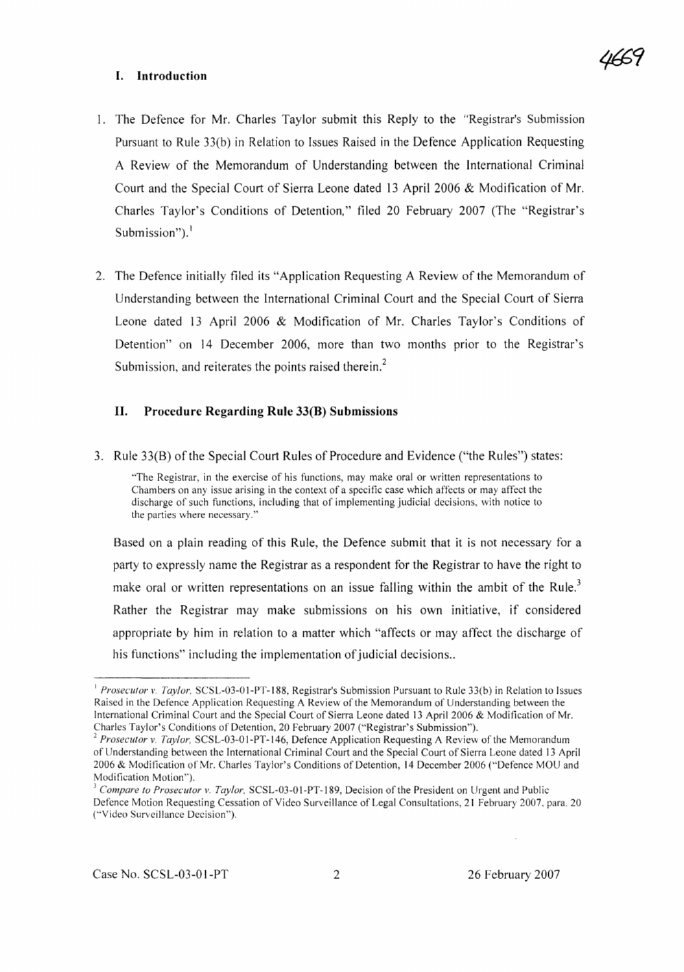#### I. Introduction



- I. The Defence for Mr. Charles Taylor submit this Reply to the "Registrar's Submission Pursuant to Rule 33(b) in Relation to Issues Raised in the Defence Application Requesting A Review of the Memorandum of Understanding between the International Criminal Court and the Special Court of Sierra Leone dated 13 April 2006 & Modification of Mr. Charles Taylor's Conditions of Detention," filed 20 February 2007 (The "Registrar's Submission"). $<sup>1</sup>$ </sup>
- 2. The Defence initially filed its "Application Requesting A Review of the Memorandum of Understanding between the International Criminal Court and the Special Court of Sierra Leone dated 13 April 2006 & Modification of Mr. Charles Taylor's Conditions of Detention" on 14 December 2006, more than two months prior to the Registrar's Submission, and reiterates the points raised therein.<sup>2</sup>

## II. Procedure Regarding Rule 33(B) Submissions

3. Rule 33(B) of the Special Court Rules of Procedure and Evidence ("the Rules") states:

"The Registrar, in the exercise of his functions, may make oral or written representations to Chambers on any issue arising in the context of a specific case which affects or may affect the discharge of such functions, including that of implementing judicial decisions, with notice to the parties where necessary."

Based on a plain reading of this Rule, the Defence submit that it is not necessary for a party to expressly name the Registrar as a respondent for the Registrar to have the right to make oral or written representations on an issue falling within the ambit of the Rule.<sup>3</sup> Rather the Registrar may make submissions on his own initiative, if considered appropriate by him in relation to a matter which "affects or may affect the discharge of his functions" including the implementation of judicial decisions..

<sup>&</sup>lt;sup>1</sup> *Prosecutor v. Taylor*, SCSL-03-01-PT-188, Registrar's Submission Pursuant to Rule 33(b) in Relation to Issues Raised in the Defence Application Requesting A Review of the Memorandum of Understanding between the International Criminal Court and the Special Court of Sierra Leone dated 13 April 2006 & Modification of Mr. Charles Taylor's Conditions of Detention, 20 February 2007 ("Registrar's Submission").

<sup>2</sup> *Prosecutor v. Taylor,* SCSL-03-01-PT-146, Defence Application Requesting A Review of the Memorandum of Understanding between the International Criminal Court and the Special Court of Sierra Leone dated 13 April 2006 & Modification of Mr. Charles Taylor's Conditions of Detention, 14 December 2006 ("Defence MOU and Modification Motion").

<sup>]</sup> *Compare to Prosecutor v. Taylor,* SCSL-03-01-PT-189, Decision ofthe President on Urgent and Public Defence Motion Requesting Cessation of Video Surveillance of Legal Consultations, 21 February 2007. para. 20 ("Video Surveillance Decision").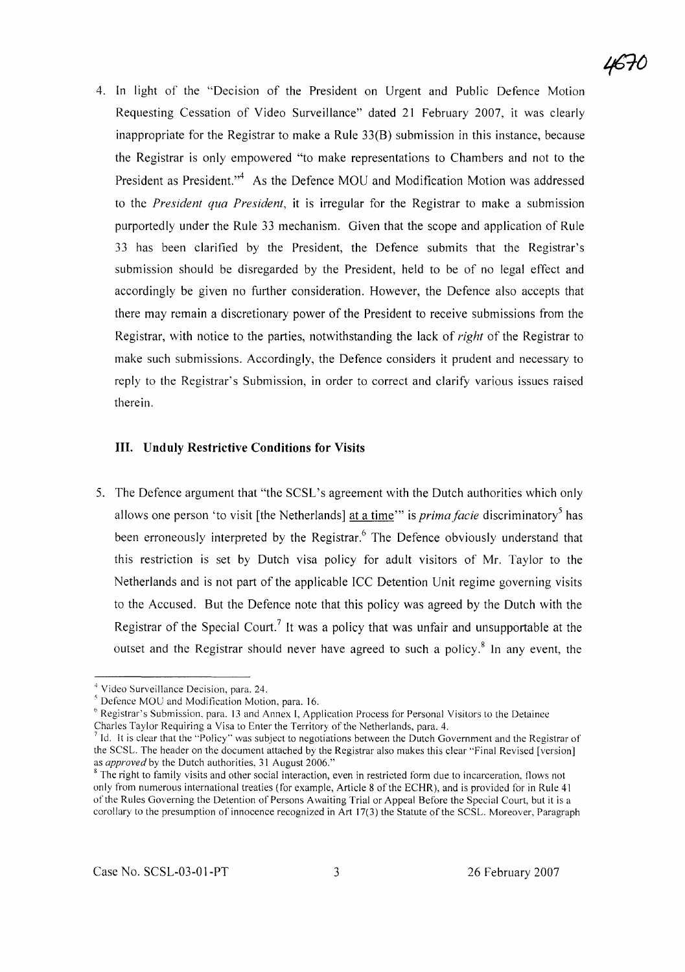4. In light of the "Decision of the President on Urgent and Public Defence Motion Requesting Cessation of Video Surveillance" dated 21 February 2007, it was clearly inappropriate for the Registrar to make a Rule 33(B) submission in this instance, because the Registrar is only empowered "to make representations to Chambers and not to the President as President.<sup>44</sup> As the Defence MOU and Modification Motion was addressed to the *President qua President,* it is irregular for the Registrar to make a submission purportedly under the Rule 33 mechanism. Given that the scope and application of Rule 33 has been clarified by the President, the Defence submits that the Registrar's submission should be disregarded by the President, held to be of no legal effect and accordingly be given no further consideration. However, the Defence also accepts that there may remain a discretionary power of the President to receive submissions from the Registrar, with notice to the parties, notwithstanding the lack of *right* of the Registrar to make such submissions. Accordingly, the Defence considers it prudent and necessary to reply to the Registrar's Submission, in order to correct and clarify various issues raised therein.

#### **III, Unduly Restrictive Conditions for** Visits

5. The Defence argument that "the SCSL's agreement with the Dutch authorities which only allows one person 'to visit [the Netherlands] at a time'" is *prima facie* discriminatory<sup>5</sup> has been erroneously interpreted by the Registrar.<sup>6</sup> The Defence obviously understand that this restriction is set by Dutch visa policy for adult visitors of Mr. Taylor to the Netherlands and is not part of the applicable ICC Detention Unit regime governing visits to the Accused. But the Defence note that this policy was agreed by the Dutch with the Registrar of the Special Court.<sup>7</sup> It was a policy that was unfair and unsupportable at the outset and the Registrar should never have agreed to such a policy.<sup>8</sup> In any event, the

<sup>4</sup> Video Surveillance Decision, para. 24.

<sup>&</sup>lt;sup>5</sup> Defence MOU and Modification Motion, para. 16.

*<sup>b</sup>* Registrar's Submission, para. 13 and Annex I, Application Process for Personal Visitors to the Detainee Charles Taylor Requiring a Visa to Enter the Territory of the Netherlands, para. 4.

<sup>7</sup> 1d. It is clear that the "Policy" was subject to negotiations between the Dutch Government and the Registrar of the SCSL. The header on the document attached by the Registrar also makes this clear "Final Revised [version] as *approved* by the Dutch authorities, 31 August 2006."

<sup>&</sup>lt;sup>8</sup> The right to family visits and other social interaction, even in restricted form due to incarceration, flows not only from numerous international treaties (for example, Article 8 of the ECHR), and is provided for in Rule 41 ofthe Rules Governing the Detention of Persons Awaiting Trial or Appeal Before the Special Court, but it is a corollary to the presumption of innocence recognized in Art 17(3) the Statute of the SCSL. Moreover, Paragraph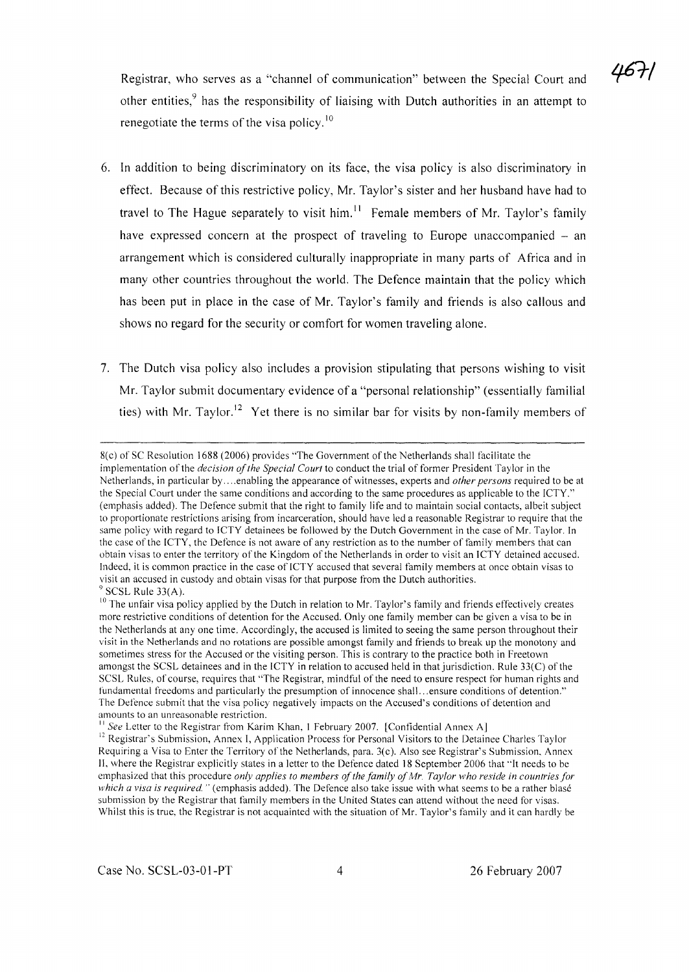Registrar, who serves as a "channel of communication" between the Special Court and other entities,<sup>9</sup> has the responsibility of liaising with Dutch authorities in an attempt to renegotiate the terms of the visa policy.<sup>10</sup>

- 6. In addition to being discriminatory on its face, the visa policy is also discriminatory in effect. Because of this restrictive policy, Mr. Taylor's sister and her husband have had to travel to The Hague separately to visit him.<sup>11</sup> Female members of Mr. Taylor's family have expressed concern at the prospect of traveling to Europe unaccompanied  $-$  an arrangement which is considered culturally inappropriate in many parts of Africa and in many other countries throughout the world. The Defence maintain that the policy which has been put in place in the case of Mr. Taylor's family and friends is also callous and shows no regard for the security or comfort for women traveling alone.
- 7. The Dutch visa policy also includes a provision stipulating that persons wishing to visit Mr. Taylor submit documentary evidence of a "personal relationship" (essentially familial ties) with Mr. Taylor.<sup>12</sup> Yet there is no similar bar for visits by non-family members of

<sup>8(</sup>c) of SC Resolution 1688 (2006) provides "The Government of the Netherlands shall facilitate the implementation of the *decision of the Special Court* to conduct the trial of former President Taylor in the Netherlands, in particular by ....enabling the appearance of witnesses, experts and *other persons* required to be at the Special Court under the same conditions and according to the same procedures as applicable to the ICTY." (emphasis added). The Defence submit that the right to family life and to maintain social contacts, albeit subject to proportionate restrictions arising from incarceration, should have led a reasonable Registrar to require that the same policy with regard to ICTY detainees be followed by the Dutch Government in the case of Mr. Taylor. In the case of the [CTY, the Defence is not aware of any restriction as to the number of fami Iy members that can obtain visas to enter the territory of the Kingdom of the Netherlands in order to visit an ICTY detained accused. Indeed, it is common practice in the case of ICTY accused that several family members at once obtain visas to visit an accused in custody and obtain visas for that purpose from the Dutch authorities. SCSL Rule 33(A).

<sup>&</sup>lt;sup>10</sup> The unfair visa policy applied by the Dutch in relation to Mr. Taylor's family and friends effectively creates more restrictive conditions of detention for the Accused. Only one family member can be given a visa to be in the Netherlands at anyone time. Accordingly, the accused is limited to seeing the same person throughout their visit in the Netherlands and no rotations are possible amongst family and friends to break up the monotony and sometimes stress for the Accused or the visiting person. This is contrary to the practice both in Freetown amongst the SCSL detainees and in the ICTY in relation to accused held in that jurisdiction. Rule 33(C) ofthe SCSL Rules, of course, requires that "The Registrar, mindful of the need to ensure respect for human rights and fundamental freedoms and particularly the presumption of innocence shall...ensure conditions of detention." The Defence submit that the visa policy negatively impacts on the Accused's conditions of detention and amounts to an unreasonable restriction.

See Letter to the Registrar from Karim Khan, 1 February 2007. [Confidential Annex A]

<sup>&</sup>lt;sup>12</sup> Registrar's Submission, Annex I, Application Process for Personal Visitors to the Detainee Charles Taylor Requiring a Visa to Enter the Territory of the Netherlands, para. 3(c). Also see Registrar's Submission, Annex II. where the Registrar explicitly states in a letter to the Defence dated 18 September 2006 that "It needs to be emphasized that this procedure *only applies to members ofthe family ofMr. Taylor who reside in countries for which a visa* is *required"* (emphasis added). The Defence also take issue with what seems to be a rather blase submission by the Registrar that family members in the United States can attend without the need for visas. Whilst this is true, the Registrar is not acquainted with the situation of Mr. Taylor's family and it can hardly be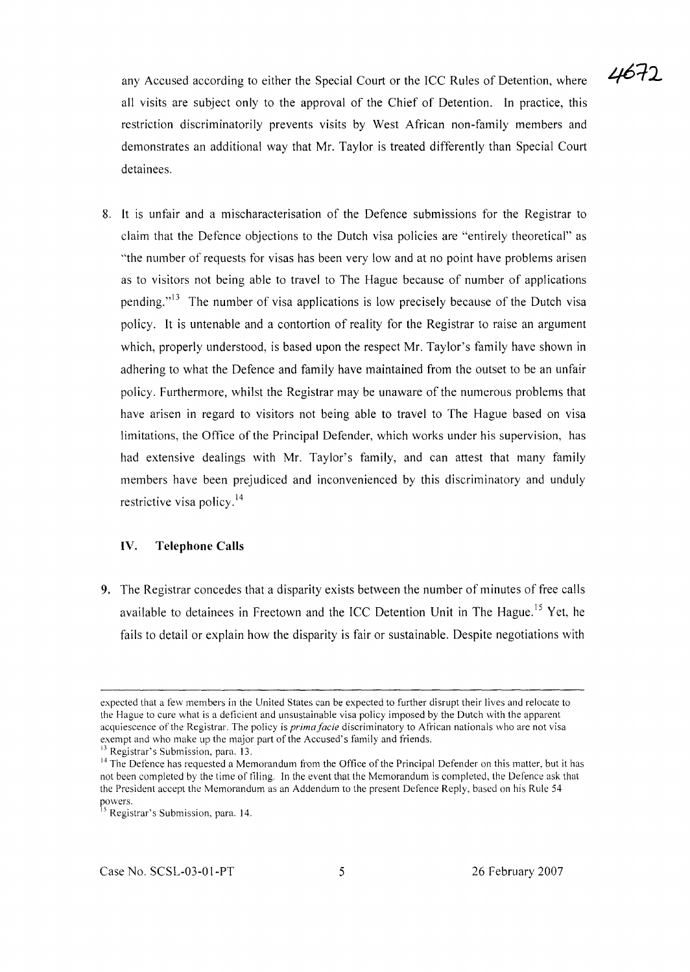any Accused according to either the Special Court or the ICC Rules of Detention, where all visits are subject only to the approval of the Chief of Detention. In practice, this restriction discriminatorily prevents visits by West African non-family members and demonstrates an additional way that Mr. Taylor is treated differently than Special Court detainees.

8. It is unfair and a mischaracterisation of the Defence submissions for the Registrar to claim that the Defence objections to the Dutch visa policies are "entirely theoretical" as "the number of requests for visas has been very low and at no point have problems arisen as to visitors not being able to travel to The Hague because of number of applications pending."<sup>13</sup> The number of visa applications is low precisely because of the Dutch visa policy. It is untenable and a contortion of reality for the Registrar to raise an argument which, properly understood, is based upon the respect Mr. Taylor's family have shown in adhering to what the Defence and family have maintained from the outset to be an unfair policy. Furthermore, whilst the Registrar may be unaware of the numerous problems that have arisen in regard to visitors not being able to travel to The Hague based on visa limitations, the Office of the Principal Defender, which works under his supervision, has had extensive dealings with Mr. Taylor's family, and can attest that many family members have been prejudiced and inconvenienced by this discriminatory and unduly restrictive visa policy.<sup>14</sup>

### **IV. Telephone Calls**

9. The Registrar concedes that a disparity exists between the number of minutes of free calls available to detainees in Freetown and the ICC Detention Unit in The Hague.<sup>15</sup> Yet, he fails to detail or explain how the disparity is fair or sustainable. Despite negotiations with

expected that a few members in the United States can be expected to further disrupt their lives and relocate to the Hague to cure what is a deficient and unsustainable visa policy imposed by the Dutch with the apparent acquiescence of the Registrar. The policy is *primafacie* discriminatory to African nationals who are not visa exempt and who make up the major part of the Accused's family and friends.

<sup>&</sup>lt;sup>13</sup> Registrar's Submission, para. 13.

 $14$  The Defence has requested a Memorandum from the Office of the Principal Defender on this matter, but it has not been completed by the time of filing. In the event that the Memorandum is completed, the Defence ask that the President accept the Memorandum as an Addendum to the present Defence Reply. based on his Rule 54 powers.

<sup>&</sup>lt;sup>15</sup> Registrar's Submission, para. 14.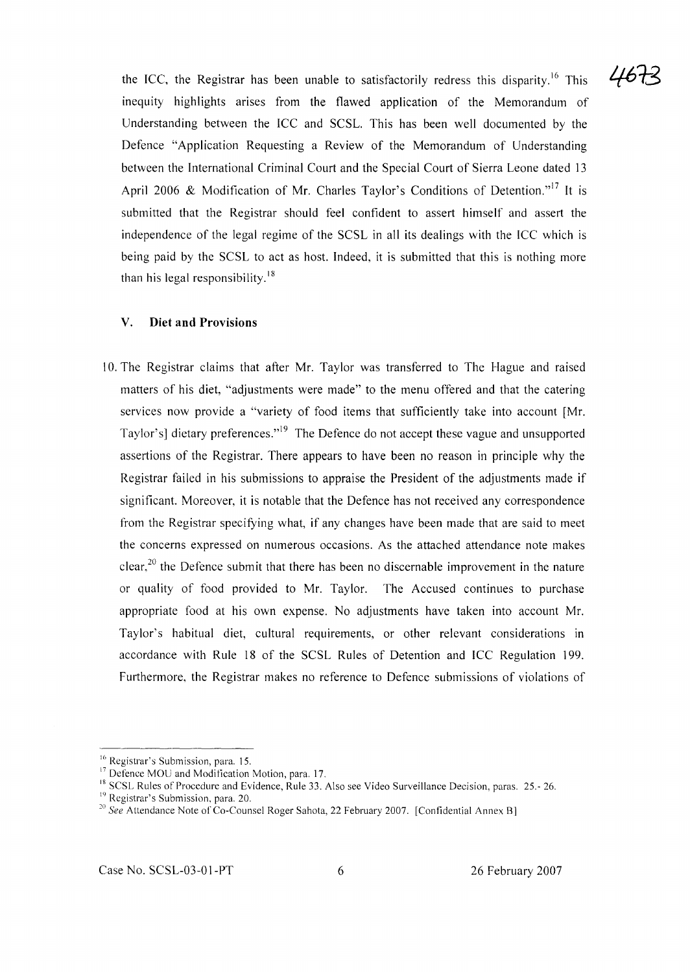the ICC, the Registrar has been unable to satisfactorily redress this disparity.<sup>16</sup> This inequity highlights arises from the flawed application of the Memorandum of Understanding between the ICC and SCSL. This has been well documented by the Defence "Application Requesting a Review of the Memorandum of Understanding between the International Criminal Court and the Special Court of Sierra Leone dated 13 April 2006 & Modification of Mr. Charles Taylor's Conditions of Detention."<sup>17</sup> It is submitted that the Registrar should feel confident to assert himself and assert the independence of the legal regime of the SCSL in all its dealings with the ICC which is being paid by the SCSL to act as host. Indeed, it is submitted that this is nothing more than his legal responsibility.<sup>18</sup>

#### **V. Diet and Provisions**

10. The Registrar claims that after Mr. Taylor was transferred to The Hague and raised matters of his diet, "adjustments were made" to the menu offered and that the catering services now provide a "variety of food items that sufficiently take into account [Mr. Taylor's] dietary preferences."<sup>19</sup> The Defence do not accept these vague and unsupported assertions of the Registrar. There appears to have been no reason in principle why the Registrar failed in his submissions to appraise the President of the adjustments made if significant. Moreover, it is notable that the Defence has not received any correspondence from the Registrar specifying what, if any changes have been made that are said to meet the concerns expressed on numerous occasions. As the attached attendance note makes clear,<sup>20</sup> the Defence submit that there has been no discernable improvement in the nature or quality of food provided to Mr. Taylor. The Accused continues to purchase appropriate food at his own expense. No adjustments have taken into account Mr. Taylor's habitual diet, cultural requirements, or other relevant considerations in accordance with Rule 18 of the SCSL Rules of Detention and ICC Regulation 199. Furthermore, the Registrar makes no reference to Defence submissions of violations of

467

<sup>16</sup> Registrar's Submission, para. 15.

<sup>&</sup>lt;sup>17</sup> Defence MOU and Modification Motion, para. 17.

<sup>18</sup> SCSL Rules of Procedure and Evidence, Rule 33. Also see Video Surveillance Decision, paras. 25.- 26.

<sup>19</sup> Registrar's Submission, para. 20.

<sup>&</sup>lt;sup>20</sup> See Attendance Note of Co-Counsel Roger Sahota, 22 February 2007. [Confidential Annex B]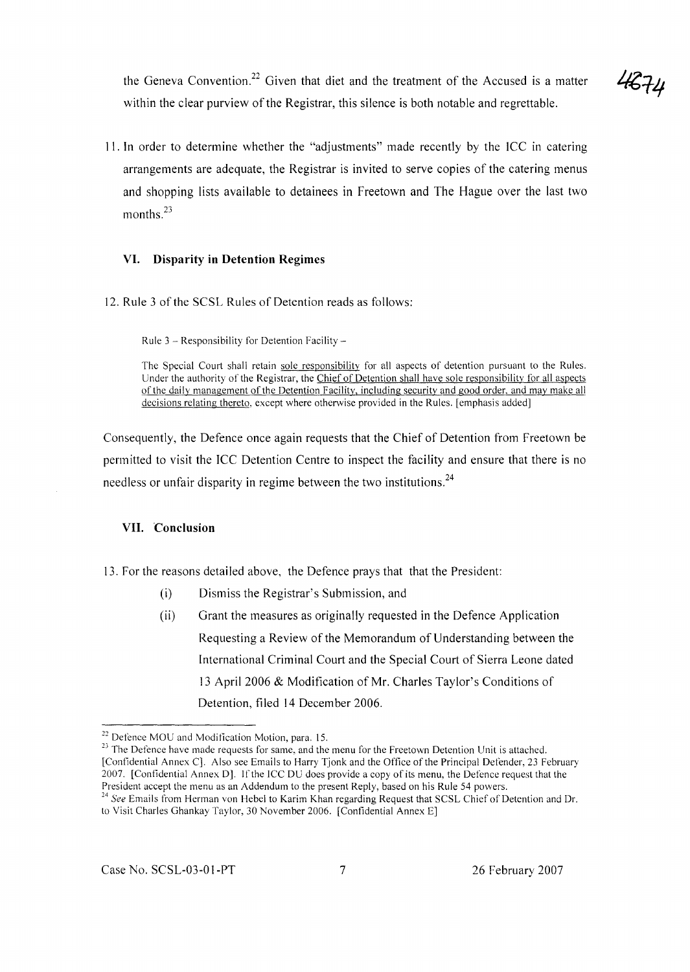4674

the Geneva Convention.<sup>22</sup> Given that diet and the treatment of the Accused is a matter within the clear purview of the Registrar, this silence is both notable and regrettable.

II. In order to determine whether the "adjustments" made recently by the ICC in catering arrangements are adequate, the Registrar is invited to serve copies of the catering menus and shopping lists available to detainees in Freetown and The Hague over the last two months.<sup>23</sup>

#### **VI. Disparity in Detention Regimes**

12. Rule 3 of the SCSL Rules of Detention reads as follows:

Rule  $3 -$  Responsibility for Detention Facility  $-$ 

The Special Court shall retain sole responsibility for all aspects of detention pursuant to the Rules. Under the authority of the Registrar, the Chief of Detention shall have sole responsibility for all aspects ofthe daily management of the Detention Facility, including security and good order, and may make all decisions relating thereto, except where otherwise provided in the Rules. [emphasis added]

Consequently, the Defence once again requests that the Chief of Detention from Freetown be permitted to visit the ICC Detention Centre to inspect the facility and ensure that there is no needless or unfair disparity in regime between the two institutions.<sup>24</sup>

#### **VII. Conclusion**

13. For the reasons detailed above, the Defence prays that that the President:

- (i) Dismiss the Registrar's Submission, and
- (ii) Grant the measures as originally requested in the Defence Application Requesting a Review of the Memorandum of Understanding between the International Criminal Court and the Special Court of Sierra Leone dated 13 April 2006 & Modification of Mr. Charles Taylor's Conditions of Detention, filed 14 December 2006.

<sup>&</sup>lt;sup>22</sup> Defence MOU and Modification Motion, para. 15.

<sup>&</sup>lt;sup>23</sup> The Defence have made requests for same, and the menu for the Freetown Detention Unit is attached. [Confidential Annex C]. Also see Emails to Harry Tjonk and the Office of the Principal Defender, 23 February 2007. [Confidential Annex D]. Ifthe ICC DU does provide a copy of its menu, the Defence request that the President accept the menu as an Addendum to the present Reply, based on his Rule 54 powers.

*<sup>24</sup> See* Emails from Herman von Hebel to Karim Khan regarding Request that SCSL Chief of Detention and Dr. to Visit Charles Ghankay Taylor, 30 November 2006. [Confidential Annex E]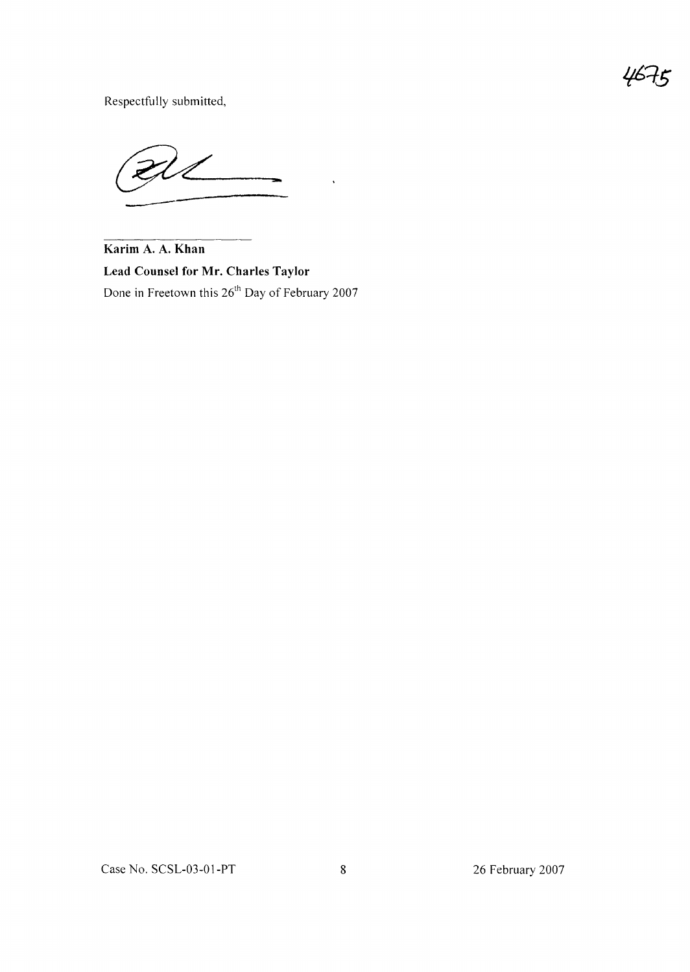יש

Respectfully submitted,

**Karim A. A. Khan Lead Counsel for Mr. Charles Taylor** Done in Freetown this 26<sup>th</sup> Day of February 2007

 $\ddot{\phantom{a}}$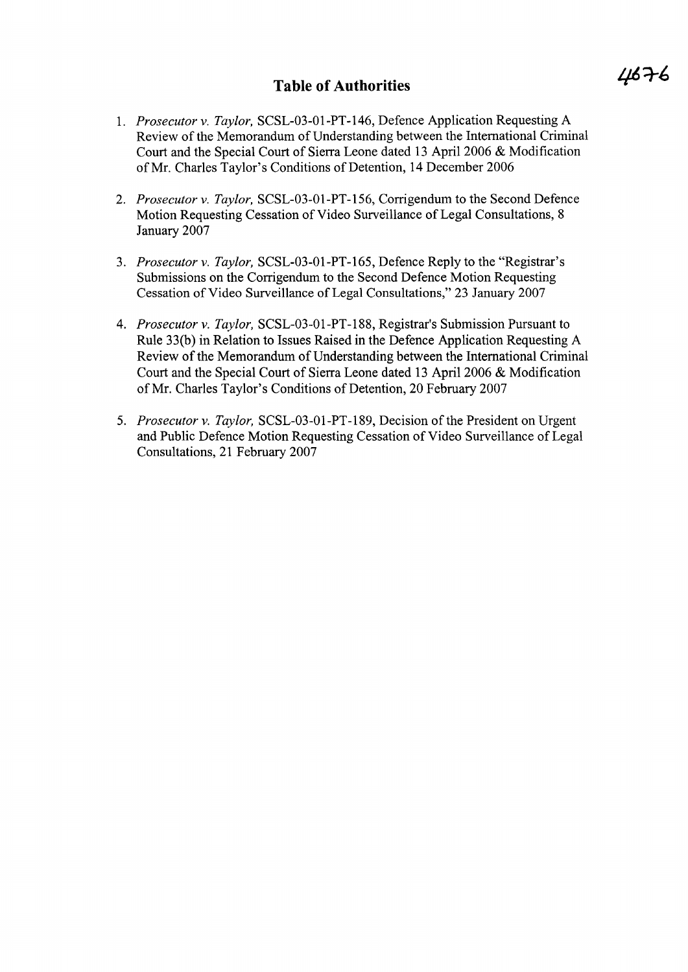# **Table of Authorities**

- *1. Prosecutor* v. *Taylor,* SCSL-03-01-PT-146, Defence Application Requesting A Review of the Memorandum of Understanding between the International Criminal Court and the Special Court of Sierra Leone dated 13 April 2006 & Modification of Mr. Charles Taylor's Conditions of Detention, 14 December 2006
- *2. Prosecutor* v. *Taylor,* SCSL-03-01-PT-156, Corrigendum to the Second Defence Motion Requesting Cessation of Video Surveillance of Legal Consultations, 8 January 2007
- *3. Prosecutor* v. *Taylor,* SCSL-03-01-PT-165, Defence Reply to the "Registrar's Submissions on the Corrigendum to the Second Defence Motion Requesting Cessation of Video Surveillance of Legal Consultations," 23 January 2007
- *4. Prosecutor* v. *Taylor,* SCSL-03-01-PT-188, Registrar's Submission Pursuant to Rule 33(b) in Relation to Issues Raised in the Defence Application Requesting A Review of the Memorandum of Understanding between the International Criminal Court and the Special Court of Sierra Leone dated 13 April 2006 & Modification ofMr. Charles Taylor's Conditions of Detention, 20 February 2007
- 5. *Prosecutor v. Taylor,* SCSL-03-01-PT-189, Decision of the President on Urgent and Public Defence Motion Requesting Cessation of Video Surveillance of Legal Consultations, 21 February 2007